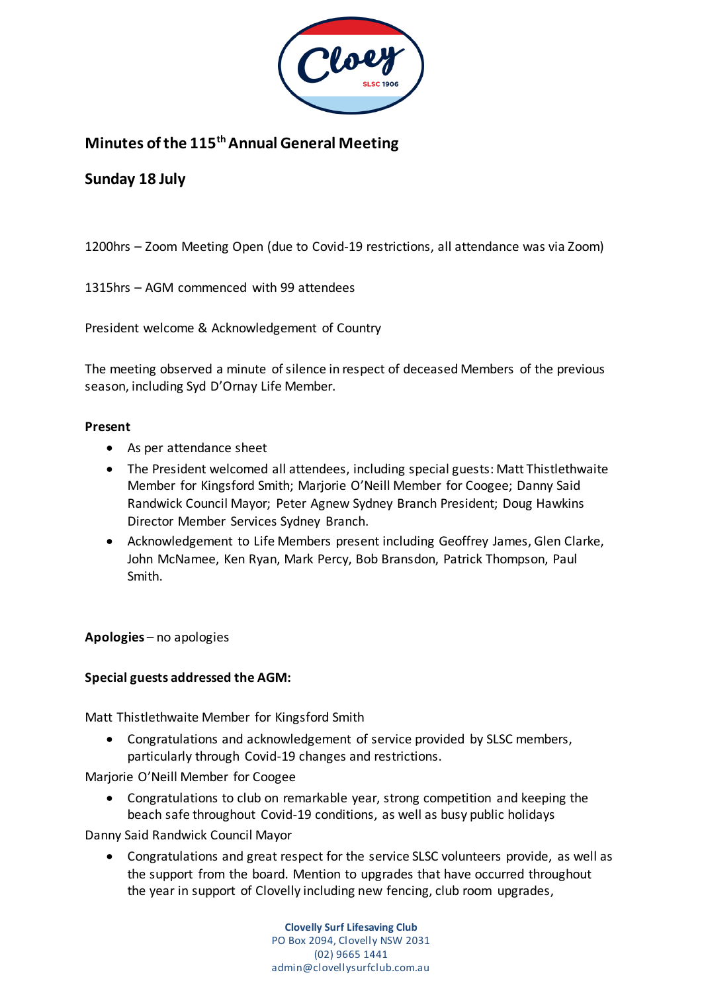

# **Minutes of the 115thAnnual General Meeting**

## **Sunday 18 July**

1200hrs – Zoom Meeting Open (due to Covid-19 restrictions, all attendance was via Zoom)

1315hrs – AGM commenced with 99 attendees

President welcome & Acknowledgement of Country

The meeting observed a minute of silence in respect of deceased Members of the previous season, including Syd D'Ornay Life Member.

#### **Present**

- As per attendance sheet
- The President welcomed all attendees, including special guests: Matt Thistlethwaite Member for Kingsford Smith; Marjorie O'Neill Member for Coogee; Danny Said Randwick Council Mayor; Peter Agnew Sydney Branch President; Doug Hawkins Director Member Services Sydney Branch.
- Acknowledgement to Life Members present including Geoffrey James, Glen Clarke, John McNamee, Ken Ryan, Mark Percy, Bob Bransdon, Patrick Thompson, Paul Smith.

**Apologies** – no apologies

#### **Special guests addressed the AGM:**

Matt Thistlethwaite Member for Kingsford Smith

 Congratulations and acknowledgement of service provided by SLSC members, particularly through Covid-19 changes and restrictions.

Marjorie O'Neill Member for Coogee

 Congratulations to club on remarkable year, strong competition and keeping the beach safe throughout Covid-19 conditions, as well as busy public holidays

Danny Said Randwick Council Mayor

 Congratulations and great respect for the service SLSC volunteers provide, as well as the support from the board. Mention to upgrades that have occurred throughout the year in support of Clovelly including new fencing, club room upgrades,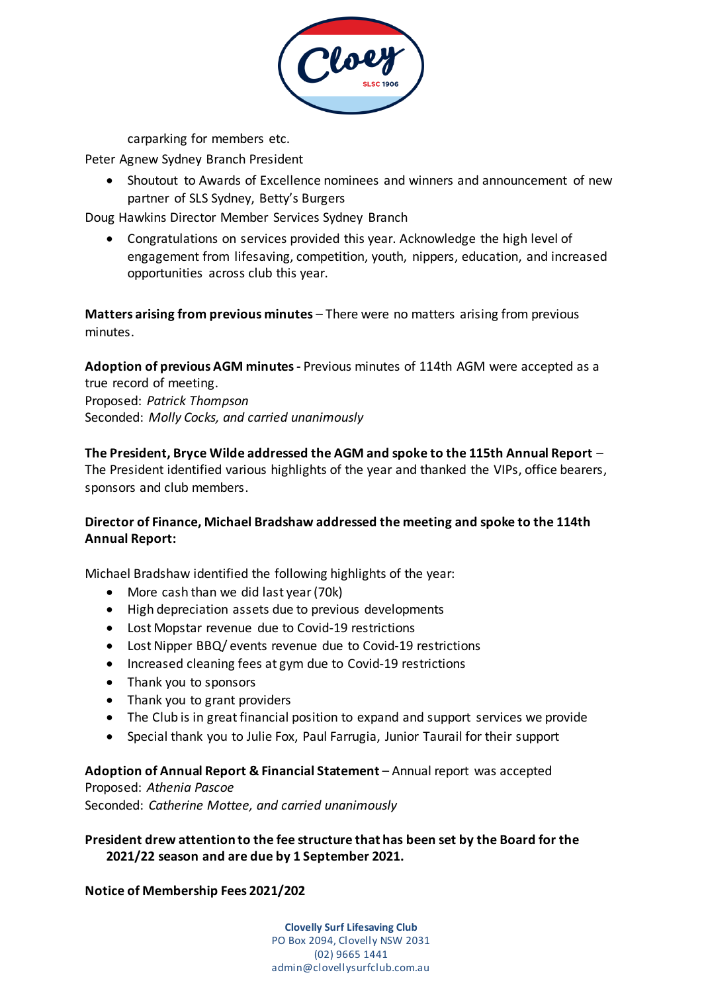

carparking for members etc.

Peter Agnew Sydney Branch President

 Shoutout to Awards of Excellence nominees and winners and announcement of new partner of SLS Sydney, Betty's Burgers

Doug Hawkins Director Member Services Sydney Branch

 Congratulations on services provided this year. Acknowledge the high level of engagement from lifesaving, competition, youth, nippers, education, and increased opportunities across club this year.

**Matters arising from previous minutes** – There were no matters arising from previous minutes.

**Adoption of previous AGM minutes -** Previous minutes of 114th AGM were accepted as a true record of meeting. Proposed: *Patrick Thompson* Seconded: *Molly Cocks, and carried unanimously*

**The President, Bryce Wilde addressed the AGM and spoke to the 115th Annual Report** – The President identified various highlights of the year and thanked the VIPs, office bearers, sponsors and club members.

## **Director of Finance, Michael Bradshaw addressed the meeting and spoke to the 114th Annual Report:**

Michael Bradshaw identified the following highlights of the year:

- More cash than we did last year (70k)
- High depreciation assets due to previous developments
- Lost Mopstar revenue due to Covid-19 restrictions
- Lost Nipper BBQ/ events revenue due to Covid-19 restrictions
- Increased cleaning fees at gym due to Covid-19 restrictions
- Thank you to sponsors
- Thank you to grant providers
- The Club is in great financial position to expand and support services we provide
- Special thank you to Julie Fox, Paul Farrugia, Junior Taurail for their support

#### **Adoption of Annual Report & Financial Statement** – Annual report was accepted

Proposed: *Athenia Pascoe* Seconded: *Catherine Mottee, and carried unanimously*

**President drew attention to the fee structure that has been set by the Board for the 2021/22 season and are due by 1 September 2021.**

## **Notice of Membership Fees 2021/202**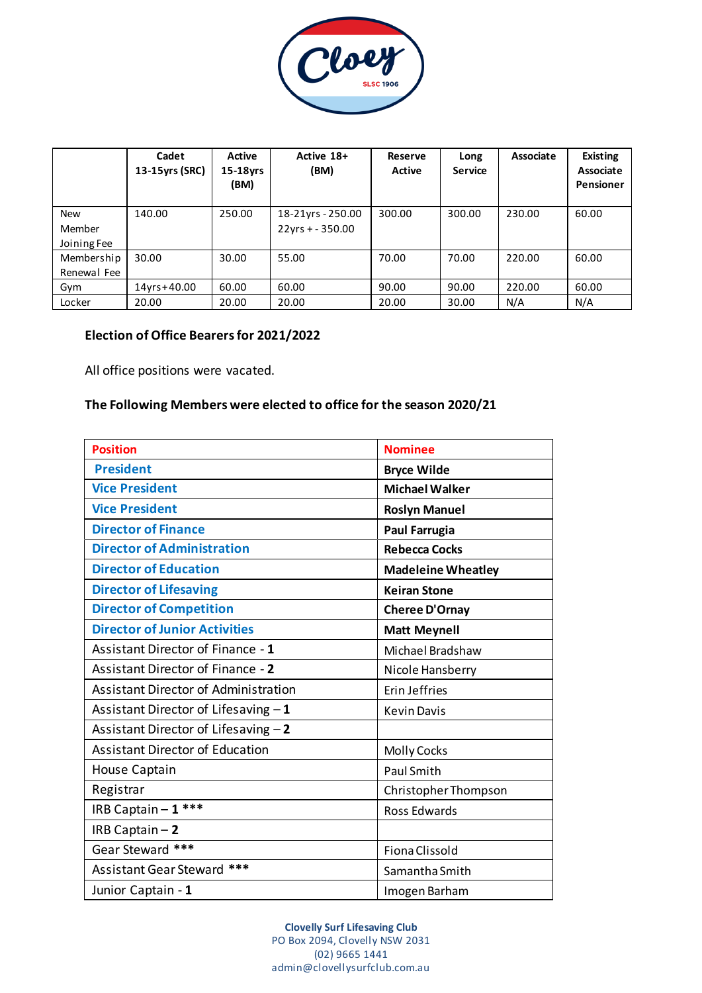

|                                     | Cadet<br>13-15yrs (SRC) | Active<br>15-18yrs<br>(BM) | Active 18+<br>(BM)                       | Reserve<br>Active | Long<br><b>Service</b> | Associate | <b>Existing</b><br><b>Associate</b><br><b>Pensioner</b> |
|-------------------------------------|-------------------------|----------------------------|------------------------------------------|-------------------|------------------------|-----------|---------------------------------------------------------|
| <b>New</b><br>Member<br>Joining Fee | 140.00                  | 250.00                     | 18-21yrs - 250.00<br>$22$ yrs + - 350.00 | 300.00            | 300.00                 | 230.00    | 60.00                                                   |
| Membership<br>Renewal Fee           | 30.00                   | 30.00                      | 55.00                                    | 70.00             | 70.00                  | 220.00    | 60.00                                                   |
| Gym                                 | $14$ yrs + 40.00        | 60.00                      | 60.00                                    | 90.00             | 90.00                  | 220.00    | 60.00                                                   |
| Locker                              | 20.00                   | 20.00                      | 20.00                                    | 20.00             | 30.00                  | N/A       | N/A                                                     |

#### **Election of Office Bearers for 2021/2022**

All office positions were vacated.

#### **The Following Members were elected to office for the season 2020/21**

| <b>Position</b>                             | <b>Nominee</b>            |  |  |
|---------------------------------------------|---------------------------|--|--|
| <b>President</b>                            | <b>Bryce Wilde</b>        |  |  |
| <b>Vice President</b>                       | <b>Michael Walker</b>     |  |  |
| <b>Vice President</b>                       | <b>Roslyn Manuel</b>      |  |  |
| <b>Director of Finance</b>                  | <b>Paul Farrugia</b>      |  |  |
| <b>Director of Administration</b>           | <b>Rebecca Cocks</b>      |  |  |
| <b>Director of Education</b>                | <b>Madeleine Wheatley</b> |  |  |
| <b>Director of Lifesaving</b>               | <b>Keiran Stone</b>       |  |  |
| <b>Director of Competition</b>              | Cheree D'Ornay            |  |  |
| <b>Director of Junior Activities</b>        | <b>Matt Meynell</b>       |  |  |
| Assistant Director of Finance - 1           | Michael Bradshaw          |  |  |
| Assistant Director of Finance - 2           | Nicole Hansberry          |  |  |
| <b>Assistant Director of Administration</b> | Erin Jeffries             |  |  |
| Assistant Director of Lifesaving $-1$       | <b>Kevin Davis</b>        |  |  |
| Assistant Director of Lifesaving $-2$       |                           |  |  |
| <b>Assistant Director of Education</b>      | <b>Molly Cocks</b>        |  |  |
| <b>House Captain</b>                        | <b>Paul Smith</b>         |  |  |
| Registrar                                   | Christopher Thompson      |  |  |
| IRB Captain - 1 ***                         | Ross Edwards              |  |  |
| IRB Captain $-2$                            |                           |  |  |
| Gear Steward ***                            | Fiona Clissold            |  |  |
| Assistant Gear Steward ***                  | Samantha Smith            |  |  |
| Junior Captain - 1                          | Imogen Barham             |  |  |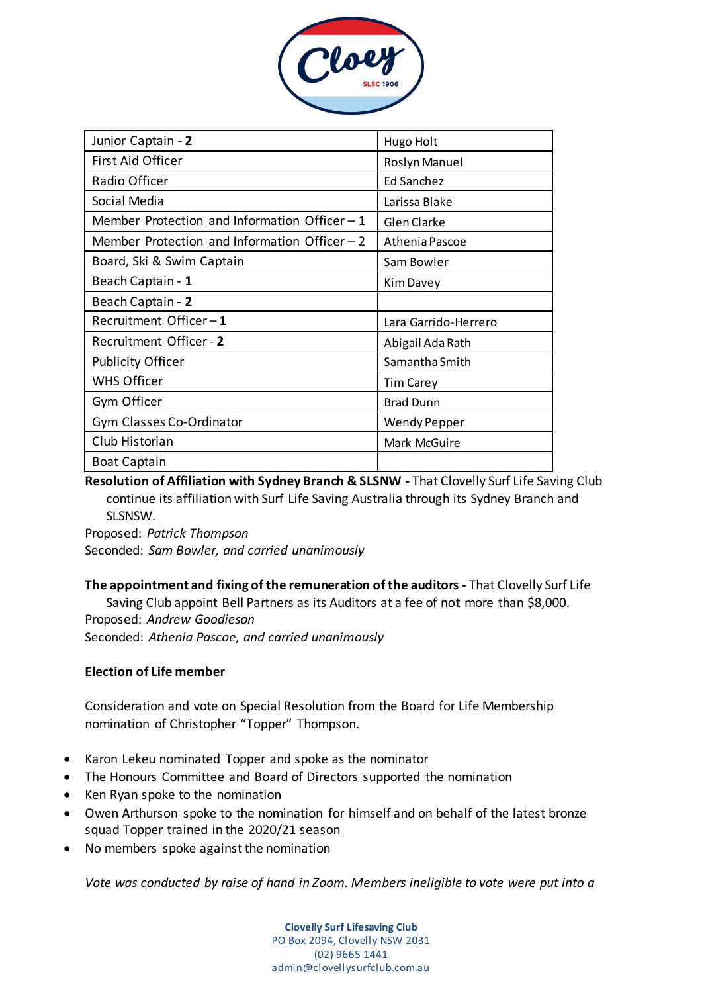

| Junior Captain - 2                             | Hugo Holt            |  |  |
|------------------------------------------------|----------------------|--|--|
| First Aid Officer                              | Roslyn Manuel        |  |  |
| Radio Officer                                  | Ed Sanchez           |  |  |
| Social Media                                   | Larissa Blake        |  |  |
| Member Protection and Information Officer $-1$ | Glen Clarke          |  |  |
| Member Protection and Information Officer $-2$ | Athenia Pascoe       |  |  |
| Board, Ski & Swim Captain                      | Sam Bowler           |  |  |
| Beach Captain - 1                              | Kim Davey            |  |  |
| Beach Captain - 2                              |                      |  |  |
| Recruitment Officer-1                          | Lara Garrido-Herrero |  |  |
| Recruitment Officer - 2                        | Abigail Ada Rath     |  |  |
| <b>Publicity Officer</b>                       | Samantha Smith       |  |  |
| <b>WHS Officer</b>                             | <b>Tim Carey</b>     |  |  |
| Gym Officer                                    | <b>Brad Dunn</b>     |  |  |
| Gym Classes Co-Ordinator                       | <b>Wendy Pepper</b>  |  |  |
| Club Historian                                 | Mark McGuire         |  |  |
| <b>Boat Captain</b>                            |                      |  |  |

**Resolution of Affiliation with Sydney Branch & SLSNW -** That Clovelly Surf Life Saving Club continue its affiliation with Surf Life Saving Australia through its Sydney Branch and SLSNSW.

Proposed: *Patrick Thompson* Seconded: *Sam Bowler, and carried unanimously*

**The appointment and fixing of the remuneration of the auditors -** That Clovelly Surf Life Saving Club appoint Bell Partners as its Auditors at a fee of not more than \$8,000. Proposed: *Andrew Goodieson* Seconded: *Athenia Pascoe, and carried unanimously*

## **Election of Life member**

Consideration and vote on Special Resolution from the Board for Life Membership nomination of Christopher "Topper" Thompson.

- Karon Lekeu nominated Topper and spoke as the nominator
- The Honours Committee and Board of Directors supported the nomination
- Ken Ryan spoke to the nomination
- Owen Arthurson spoke to the nomination for himself and on behalf of the latest bronze squad Topper trained in the 2020/21 season
- No members spoke against the nomination

*Vote was conducted by raise of hand in Zoom. Members ineligible to vote were put into a*